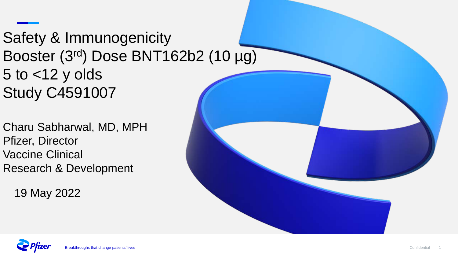# Safety & Immunogenicity Booster (3rd) Dose BNT162b2 (10 µg) 5 to <12 y olds Study C4591007

Charu Sabharwal, MD, MPH Pfizer, Director Vaccine Clinical Research & Development

19 May 2022



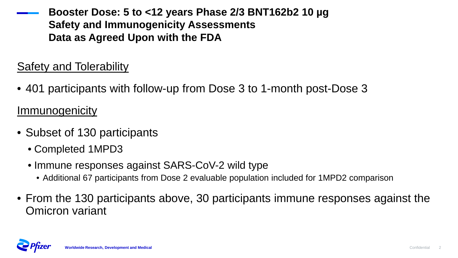**Booster Dose: 5 to <12 years Phase 2/3 BNT162b2 10 µg Safety and Immunogenicity Assessments Data as Agreed Upon with the FDA**

#### Safety and Tolerability

• 401 participants with follow-up from Dose 3 to 1-month post-Dose 3

**Immunogenicity** 

- Subset of 130 participants
	- Completed 1MPD3
	- Immune responses against SARS-CoV-2 wild type
		- Additional 67 participants from Dose 2 evaluable population included for 1MPD2 comparison
- From the 130 participants above, 30 participants immune responses against the Omicron variant

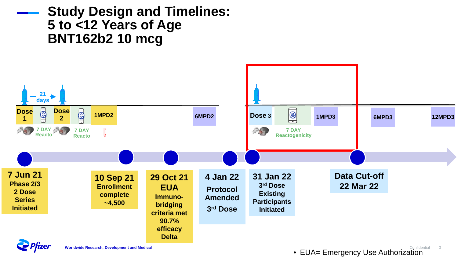### **Study Design and Timelines: 5 to <12 Years of Age BNT162b2 10 mcg**



• EUA= Emergency Use Authorization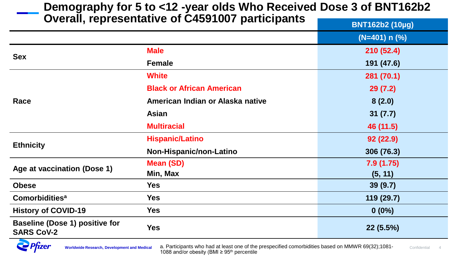#### **Demography for 5 to <12 -year olds Who Received Dose 3 of BNT162b2 Overall, representative of C4591007 participants BNT162b2 (10µg)**

|                                                            |                                  | <b>PRITIOLDS</b> (TVHY) |
|------------------------------------------------------------|----------------------------------|-------------------------|
|                                                            |                                  | $(N=401) n (%)$         |
| <b>Sex</b>                                                 | <b>Male</b>                      | 210(52.4)               |
|                                                            | <b>Female</b>                    | 191 (47.6)              |
|                                                            | <b>White</b>                     | 281 (70.1)              |
|                                                            | <b>Black or African American</b> | 29(7.2)                 |
| Race                                                       | American Indian or Alaska native | 8(2.0)                  |
|                                                            | <b>Asian</b>                     | 31(7.7)                 |
|                                                            | <b>Multiracial</b>               | 46 (11.5)               |
|                                                            | <b>Hispanic/Latino</b>           | 92(22.9)                |
| <b>Ethnicity</b>                                           | Non-Hispanic/non-Latino          | 306 (76.3)              |
| Age at vaccination (Dose 1)                                | <b>Mean (SD)</b>                 | 7.9(1.75)               |
|                                                            | Min, Max                         | (5, 11)                 |
| <b>Obese</b>                                               | <b>Yes</b>                       | 39(9.7)                 |
| Comorbidities <sup>a</sup>                                 | <b>Yes</b>                       | 119 (29.7)              |
| <b>History of COVID-19</b>                                 | <b>Yes</b>                       | $0(0\%)$                |
| <b>Baseline (Dose 1) positive for</b><br><b>SARS CoV-2</b> | <b>Yes</b>                       | 22(5.5%)                |

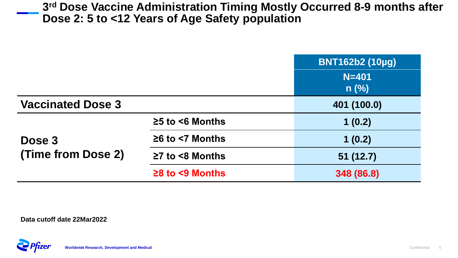**3rd Dose Vaccine Administration Timing Mostly Occurred 8-9 months after Dose 2: 5 to <12 Years of Age Safety population**

|                              |                             | $N = 401$<br>$n$ (%) |
|------------------------------|-----------------------------|----------------------|
| <b>Vaccinated Dose 3</b>     |                             | 401 (100.0)          |
| Dose 3<br>(Time from Dose 2) | $\geq$ 5 to <6 Months       | 1(0.2)               |
|                              | $\geq 6$ to $\leq 7$ Months | 1(0.2)               |
|                              | $\geq$ 7 to <8 Months       | 51(12.7)             |
|                              | $\geq$ 8 to <9 Months       | 348 (86.8)           |

**Data cutoff date 22Mar2022**

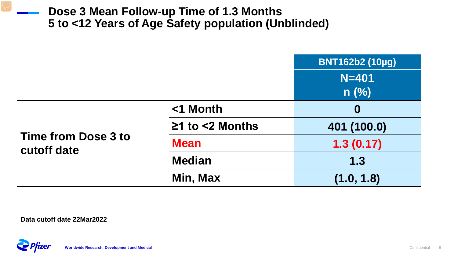#### **Dose 3 Mean Follow-up Time of 1.3 Months 5 to <12 Years of Age Safety population (Unblinded)**

|                                    |                       | <b>BNT162b2 (10µg)</b> |
|------------------------------------|-----------------------|------------------------|
|                                    |                       | $N = 401$              |
|                                    |                       | $n$ (%)                |
| Time from Dose 3 to<br>cutoff date | <1 Month              | $\boldsymbol{0}$       |
|                                    | $\geq$ 1 to <2 Months | 401 (100.0)            |
|                                    | <b>Mean</b>           | 1.3(0.17)              |
|                                    | <b>Median</b>         | 1.3                    |
|                                    | Min, Max              | (1.0, 1.8)             |

**Data cutoff date 22Mar2022**

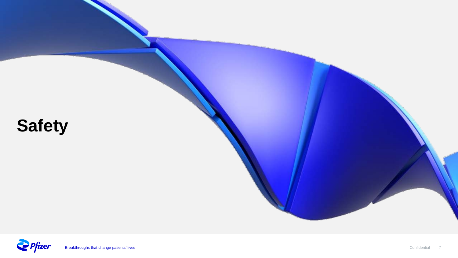

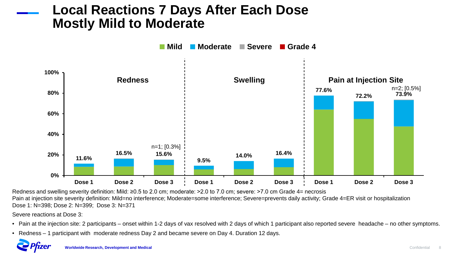#### **Local Reactions 7 Days After Each Dose Mostly Mild to Moderate**



Redness and swelling severity definition: Mild: ≥0.5 to 2.0 cm; moderate: >2.0 to 7.0 cm; severe: >7.0 cm Grade 4= necrosis Pain at injection site severity definition: Mild=no interference; Moderate=some interference; Severe=prevents daily activity; Grade 4=ER visit or hospitalization Dose 1: N=398; Dose 2: N=399; Dose 3: N=371

Severe reactions at Dose 3:

- Pain at the injection site: 2 participants onset within 1-2 days of vax resolved with 2 days of which 1 participant also reported severe headache no other symptoms.
- Redness 1 participant with moderate redness Day 2 and became severe on Day 4. Duration 12 days.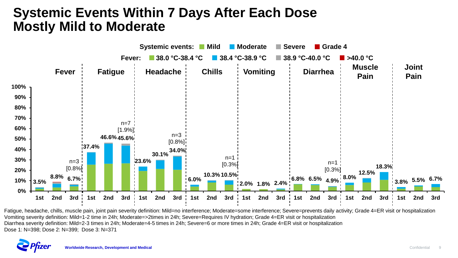### **Systemic Events Within 7 Days After Each Dose Mostly Mild to Moderate**



Fatigue, headache, chills, muscle pain, joint pain severity definition: Mild=no interference; Moderate=some interference; Severe=prevents daily activity; Grade 4=ER visit or hospitalization Vomiting severity definition: Mild=1-2 time in 24h; Moderate=>2times in 24h; Severe=Requires IV hydration; Grade 4=ER visit or hospitalization Diarrhea severity definition: Mild=2-3 times in 24h; Moderate=4-5 times in 24h; Severe=6 or more times in 24h; Grade 4=ER visit or hospitalization Dose 1: N=398; Dose 2: N=399; Dose 3: N=371

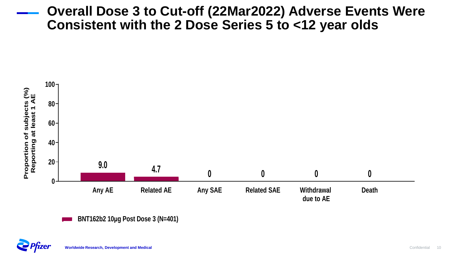#### **Overall Dose 3 to Cut-off (22Mar2022) Adverse Events Were Consistent with the 2 Dose Series 5 to <12 year olds**





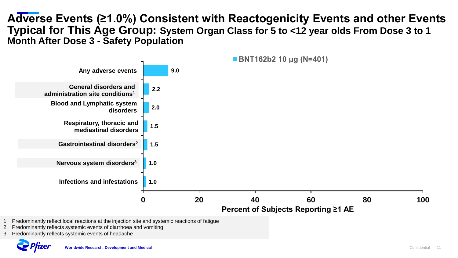#### **Adverse Events (≥1.0%) Consistent with Reactogenicity Events and other Events Typical for This Age Group: System Organ Class for 5 to <12 year olds From Dose 3 to 1 Month After Dose 3 - Safety Population**



- 1. Predominantly reflect local reactions at the injection site and systemic reactions of fatigue
- 2. Predominantly reflects systemic events of diarrhoea and vomiting
- 3. Predominantly reflects systemic events of headache

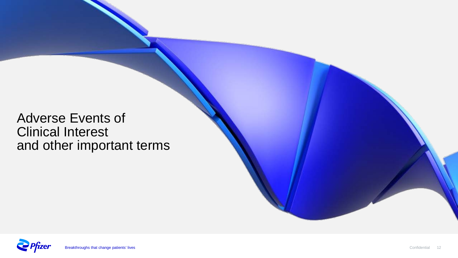### Adverse Events of Clinical Interest and other important terms

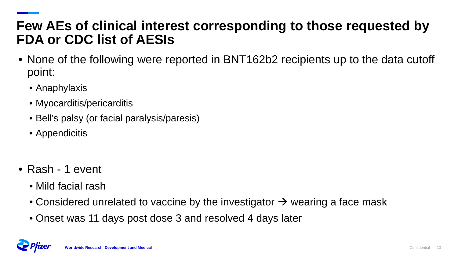### **Few AEs of clinical interest corresponding to those requested by FDA or CDC list of AESIs**

- None of the following were reported in BNT162b2 recipients up to the data cutoff point:
	- Anaphylaxis
	- Myocarditis/pericarditis
	- Bell's palsy (or facial paralysis/paresis)
	- Appendicitis
- Rash 1 event
	- Mild facial rash
	- Considered unrelated to vaccine by the investigator  $\rightarrow$  wearing a face mask
	- Onset was 11 days post dose 3 and resolved 4 days later

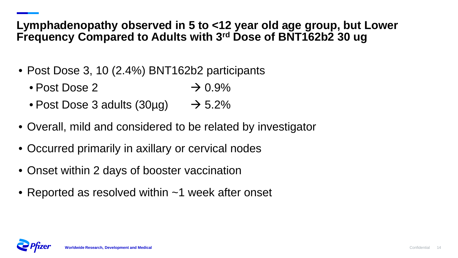#### **Lymphadenopathy observed in 5 to <12 year old age group, but Lower Frequency Compared to Adults with 3rd Dose of BNT162b2 30 ug**

- Post Dose 3, 10 (2.4%) BNT162b2 participants
	- Post Dose 2  $\rightarrow 0.9\%$
	- Post Dose 3 adults  $(30\mu g) \rightarrow 5.2\%$
- Overall, mild and considered to be related by investigator
- Occurred primarily in axillary or cervical nodes
- Onset within 2 days of booster vaccination
- Reported as resolved within ~1 week after onset

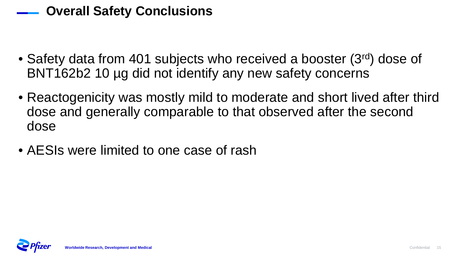### **Overall Safety Conclusions**

- Safety data from 401 subjects who received a booster (3rd) dose of BNT162b2 10 µg did not identify any new safety concerns
- Reactogenicity was mostly mild to moderate and short lived after third dose and generally comparable to that observed after the second dose
- AESIs were limited to one case of rash

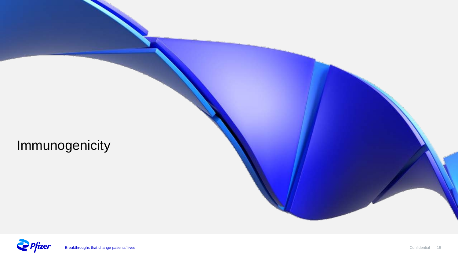Immunogenicity

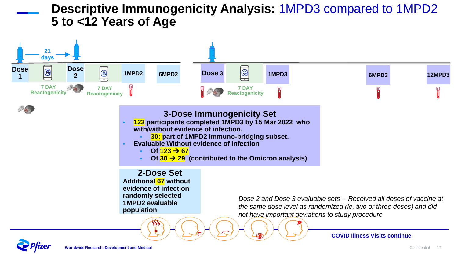#### **Descriptive Immunogenicity Analysis:** 1MPD3 compared to 1MPD2 **5 to <12 Years of Age**

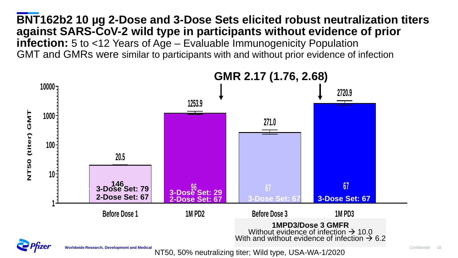**BNT162b2 10 µg 2-Dose and 3-Dose Sets elicited robust neutralization titers against SARS-CoV-2 wild type in participants without evidence of prior infection:** 5 to <12 Years of Age – Evaluable Immunogenicity Population GMT and GMRs were similar to participants with and without prior evidence of infection

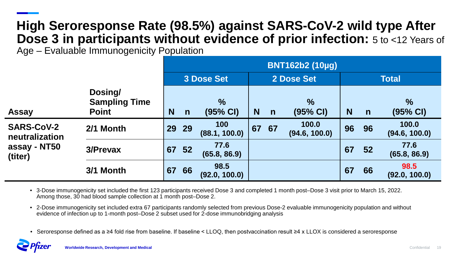#### **High Seroresponse Rate (98.5%) against SARS-CoV-2 wild type After Dose 3 in participants without evidence of prior infection:**  $5$  to <12 Years of Age – Evaluable Immunogenicity Population

|                                                                |                                                 | <b>BNT162b2 (10µg)</b> |              |                                     |    |              |                            |          |    |                                     |
|----------------------------------------------------------------|-------------------------------------------------|------------------------|--------------|-------------------------------------|----|--------------|----------------------------|----------|----|-------------------------------------|
|                                                                |                                                 | 3 Dose Set             |              | 2 Dose Set                          |    | <b>Total</b> |                            |          |    |                                     |
| <b>Assay</b>                                                   | Dosing/<br><b>Sampling Time</b><br><b>Point</b> | N                      | $\mathsf{n}$ | $\frac{0}{0}$<br>$(95% \text{ Cl})$ | N  | $\mathsf{n}$ | $\%$<br>$(95% \text{ Cl})$ | <b>N</b> | n  | $\frac{1}{2}$<br>$(95% \text{ Cl})$ |
| <b>SARS-CoV-2</b><br>neutralization<br>assay - NT50<br>(titer) | 2/1 Month                                       | <b>29</b>              | 29           | 100<br>(88.1, 100.0)                | 67 | 67           | 100.0<br>(94.6, 100.0)     | 96       | 96 | 100.0<br>(94.6, 100.0)              |
|                                                                | 3/Prevax                                        | 67                     | 52           | 77.6<br>(65.8, 86.9)                |    |              |                            | 67       | 52 | 77.6<br>(65.8, 86.9)                |
|                                                                | 3/1 Month                                       | 67                     | 66           | 98.5<br>(92.0, 100.0)               |    |              |                            | 67       | 66 | 98.5<br>(92.0, 100.0)               |

• 3-Dose immunogenicity set included the first 123 participants received Dose 3 and completed 1 month post–Dose 3 visit prior to March 15, 2022. Among those, 30 had blood sample collection at 1 month post–Dose 2.

• 2-Dose immunogenicity set included extra 67 participants randomly selected from previous Dose-2 evaluable immunogenicity population and without evidence of infection up to 1-month post–Dose 2 subset used for 2-dose immunobridging analysis

• Seroresponse defined as a ≥4 fold rise from baseline. If baseline < LLOQ, then postvaccination result ≥4 x LLOX is considered a seroresponse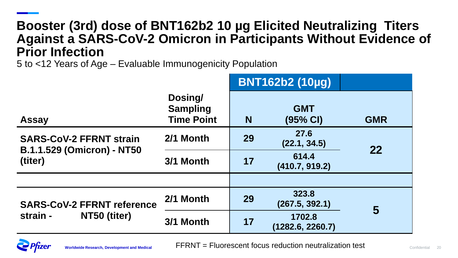### **Booster (3rd) dose of BNT162b2 10 µg Elicited Neutralizing Titers Against a SARS-CoV-2 Omicron in Participants Without Evidence of Prior Infection**

5 to <12 Years of Age – Evaluable Immunogenicity Population

|                                                                     | <b>BNT162b2 (10µg)</b>                          |                            |                                  |            |
|---------------------------------------------------------------------|-------------------------------------------------|----------------------------|----------------------------------|------------|
| <b>Assay</b>                                                        | Dosing/<br><b>Sampling</b><br><b>Time Point</b> | N                          | <b>GMT</b><br>$(95% \text{ Cl})$ | <b>GMR</b> |
| <b>SARS-CoV-2 FFRNT strain</b><br><b>B.1.1.529 (Omicron) - NT50</b> | 2/1 Month                                       | 27.6<br>29<br>(22.1, 34.5) |                                  | 22         |
| (titer)                                                             | 614.4<br>17<br>3/1 Month<br>(410.7, 919.2)      |                            |                                  |            |
|                                                                     |                                                 |                            |                                  |            |
| <b>SARS-CoV-2 FFRNT reference</b><br>strain -<br>NT50 (titer)       | 2/1 Month                                       | 29                         | 323.8<br>(267.5, 392.1)          | 5          |
|                                                                     | 3/1 Month                                       | 17                         | 1702.8<br>(1282.6, 2260.7)       |            |



**Worldwide Research, Development and Medical** Confidential 20 FFRNT = Fluorescent focus reduction neutralization test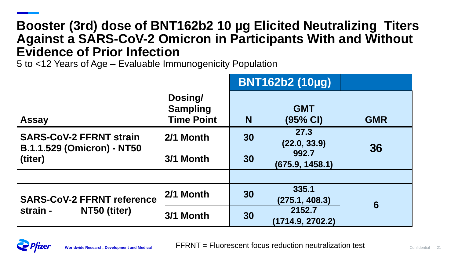### **Booster (3rd) dose of BNT162b2 10 µg Elicited Neutralizing Titers Against a SARS-CoV-2 Omicron in Participants With and Without Evidence of Prior Infection**

5 to <12 Years of Age – Evaluable Immunogenicity Population

|                                                                     |                                                 | <b>BNT162b2 (10µg)</b>     |                                  |            |
|---------------------------------------------------------------------|-------------------------------------------------|----------------------------|----------------------------------|------------|
| <b>Assay</b>                                                        | Dosing/<br><b>Sampling</b><br><b>Time Point</b> | N                          | <b>GMT</b><br>$(95% \text{ Cl})$ | <b>GMR</b> |
| <b>SARS-CoV-2 FFRNT strain</b><br><b>B.1.1.529 (Omicron) - NT50</b> | 2/1 Month                                       | 27.3<br>30<br>(22.0, 33.9) |                                  | 36         |
| (titer)                                                             | 3/1 Month                                       | 30                         | 992.7<br>(675.9, 1458.1)         |            |
|                                                                     |                                                 |                            |                                  |            |
| <b>SARS-CoV-2 FFRNT reference</b>                                   | 2/1 Month                                       | 30                         | 335.1<br>(275.1, 408.3)          | 6          |
| strain -<br>NT50 (titer)                                            | 3/1 Month                                       | 30                         | 2152.7<br>(1714.9, 2702.2)       |            |

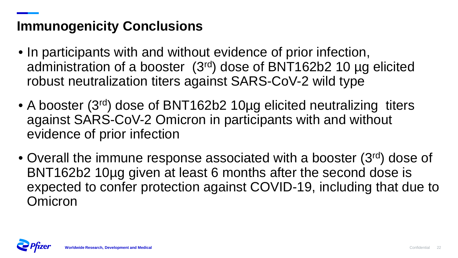## **Immunogenicity Conclusions**

- In participants with and without evidence of prior infection, administration of a booster (3rd) dose of BNT162b2 10 µg elicited robust neutralization titers against SARS-CoV-2 wild type
- A booster (3<sup>rd</sup>) dose of BNT162b2 10ug elicited neutralizing titers against SARS-CoV-2 Omicron in participants with and without evidence of prior infection
- Overall the immune response associated with a booster (3<sup>rd</sup>) dose of BNT162b2 10µg given at least 6 months after the second dose is expected to confer protection against COVID-19, including that due to Omicron